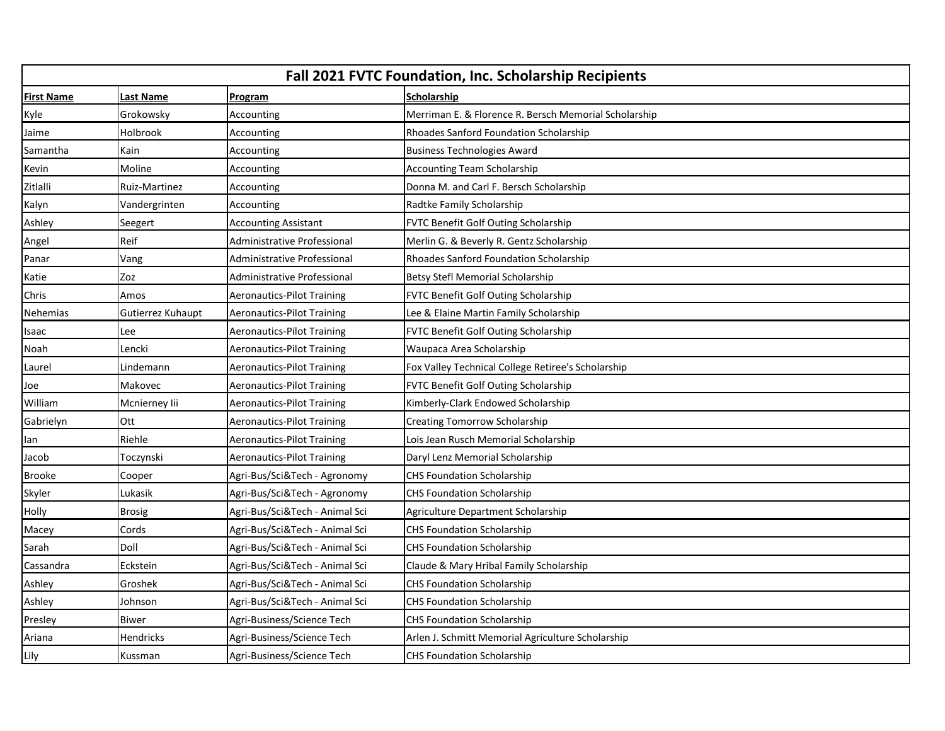| <b>Fall 2021 FVTC Foundation, Inc. Scholarship Recipients</b> |                   |                                   |                                                       |
|---------------------------------------------------------------|-------------------|-----------------------------------|-------------------------------------------------------|
| <b>First Name</b>                                             | <b>Last Name</b>  | Program                           | <b>Scholarship</b>                                    |
| Kyle                                                          | Grokowsky         | Accounting                        | Merriman E. & Florence R. Bersch Memorial Scholarship |
| Jaime                                                         | Holbrook          | Accounting                        | Rhoades Sanford Foundation Scholarship                |
| Samantha                                                      | Kain              | Accounting                        | <b>Business Technologies Award</b>                    |
| Kevin                                                         | Moline            | Accounting                        | <b>Accounting Team Scholarship</b>                    |
| Zitlalli                                                      | Ruiz-Martinez     | Accounting                        | Donna M. and Carl F. Bersch Scholarship               |
| Kalyn                                                         | Vandergrinten     | Accounting                        | Radtke Family Scholarship                             |
| Ashley                                                        | Seegert           | <b>Accounting Assistant</b>       | FVTC Benefit Golf Outing Scholarship                  |
| Angel                                                         | Reif              | Administrative Professional       | Merlin G. & Beverly R. Gentz Scholarship              |
| Panar                                                         | Vang              | Administrative Professional       | Rhoades Sanford Foundation Scholarship                |
| Katie                                                         | Zoz               | Administrative Professional       | <b>Betsy Stefl Memorial Scholarship</b>               |
| Chris                                                         | Amos              | <b>Aeronautics-Pilot Training</b> | FVTC Benefit Golf Outing Scholarship                  |
| Nehemias                                                      | Gutierrez Kuhaupt | <b>Aeronautics-Pilot Training</b> | Lee & Elaine Martin Family Scholarship                |
| Isaac                                                         | Lee               | <b>Aeronautics-Pilot Training</b> | <b>FVTC Benefit Golf Outing Scholarship</b>           |
| Noah                                                          | Lencki            | <b>Aeronautics-Pilot Training</b> | Waupaca Area Scholarship                              |
| Laurel                                                        | Lindemann         | <b>Aeronautics-Pilot Training</b> | Fox Valley Technical College Retiree's Scholarship    |
| Joe                                                           | Makovec           | <b>Aeronautics-Pilot Training</b> | FVTC Benefit Golf Outing Scholarship                  |
| William                                                       | Mcnierney lii     | <b>Aeronautics-Pilot Training</b> | Kimberly-Clark Endowed Scholarship                    |
| Gabrielyn                                                     | Ott               | <b>Aeronautics-Pilot Training</b> | <b>Creating Tomorrow Scholarship</b>                  |
| lan                                                           | Riehle            | <b>Aeronautics-Pilot Training</b> | Lois Jean Rusch Memorial Scholarship                  |
| Jacob                                                         | Toczynski         | <b>Aeronautics-Pilot Training</b> | Daryl Lenz Memorial Scholarship                       |
| <b>Brooke</b>                                                 | Cooper            | Agri-Bus/Sci&Tech - Agronomy      | <b>CHS Foundation Scholarship</b>                     |
| Skyler                                                        | Lukasik           | Agri-Bus/Sci&Tech - Agronomy      | <b>CHS Foundation Scholarship</b>                     |
| <b>Holly</b>                                                  | <b>Brosig</b>     | Agri-Bus/Sci&Tech - Animal Sci    | Agriculture Department Scholarship                    |
| Macey                                                         | Cords             | Agri-Bus/Sci&Tech - Animal Sci    | <b>CHS Foundation Scholarship</b>                     |
| Sarah                                                         | Doll              | Agri-Bus/Sci&Tech - Animal Sci    | <b>CHS Foundation Scholarship</b>                     |
| Cassandra                                                     | Eckstein          | Agri-Bus/Sci&Tech - Animal Sci    | Claude & Mary Hribal Family Scholarship               |
| Ashley                                                        | Groshek           | Agri-Bus/Sci&Tech - Animal Sci    | <b>CHS Foundation Scholarship</b>                     |
| Ashley                                                        | Johnson           | Agri-Bus/Sci&Tech - Animal Sci    | <b>CHS Foundation Scholarship</b>                     |
| Presley                                                       | <b>Biwer</b>      | Agri-Business/Science Tech        | <b>CHS Foundation Scholarship</b>                     |
| Ariana                                                        | Hendricks         | Agri-Business/Science Tech        | Arlen J. Schmitt Memorial Agriculture Scholarship     |
| Lily                                                          | Kussman           | Agri-Business/Science Tech        | <b>CHS Foundation Scholarship</b>                     |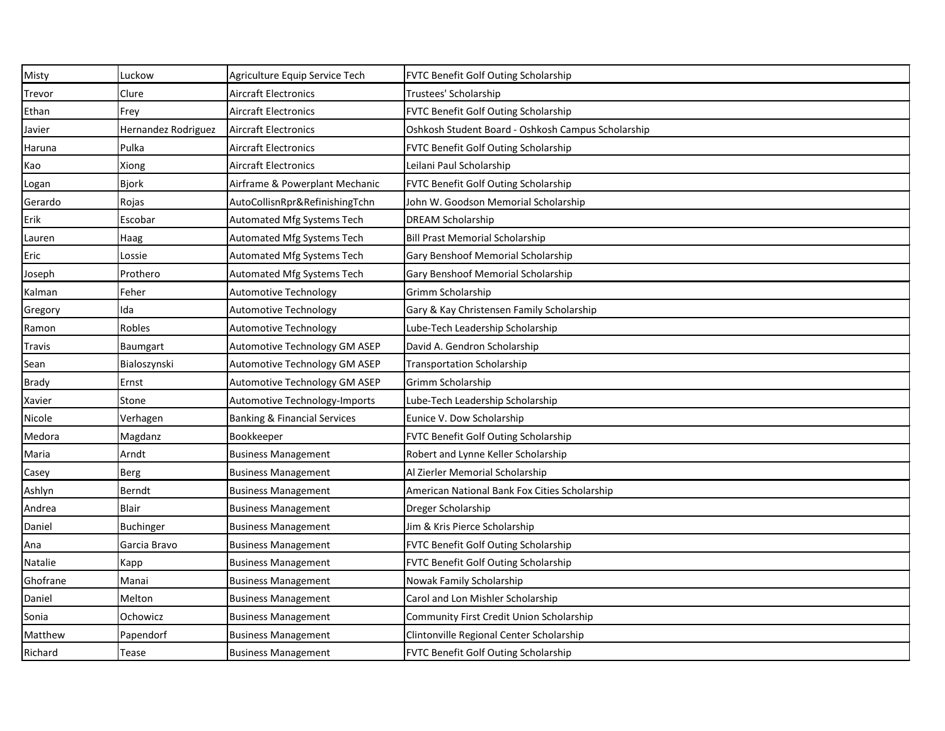| Misty    | Luckow              | Agriculture Equip Service Tech          | FVTC Benefit Golf Outing Scholarship               |
|----------|---------------------|-----------------------------------------|----------------------------------------------------|
| Trevor   | Clure               | <b>Aircraft Electronics</b>             | Trustees' Scholarship                              |
| Ethan    | Frey                | <b>Aircraft Electronics</b>             | FVTC Benefit Golf Outing Scholarship               |
| Javier   | Hernandez Rodriguez | <b>Aircraft Electronics</b>             | Oshkosh Student Board - Oshkosh Campus Scholarship |
| Haruna   | Pulka               | <b>Aircraft Electronics</b>             | FVTC Benefit Golf Outing Scholarship               |
| Kao      | Xiong               | <b>Aircraft Electronics</b>             | Leilani Paul Scholarship                           |
| Logan    | Bjork               | Airframe & Powerplant Mechanic          | FVTC Benefit Golf Outing Scholarship               |
| Gerardo  | Rojas               | AutoCollisnRpr&RefinishingTchn          | John W. Goodson Memorial Scholarship               |
| Erik     | Escobar             | Automated Mfg Systems Tech              | <b>DREAM Scholarship</b>                           |
| Lauren   | Haag                | Automated Mfg Systems Tech              | <b>Bill Prast Memorial Scholarship</b>             |
| Eric     | Lossie              | Automated Mfg Systems Tech              | Gary Benshoof Memorial Scholarship                 |
| Joseph   | Prothero            | Automated Mfg Systems Tech              | Gary Benshoof Memorial Scholarship                 |
| Kalman   | Feher               | <b>Automotive Technology</b>            | Grimm Scholarship                                  |
| Gregory  | Ida                 | <b>Automotive Technology</b>            | Gary & Kay Christensen Family Scholarship          |
| Ramon    | Robles              | <b>Automotive Technology</b>            | Lube-Tech Leadership Scholarship                   |
| Travis   | Baumgart            | Automotive Technology GM ASEP           | David A. Gendron Scholarship                       |
| Sean     | Bialoszynski        | Automotive Technology GM ASEP           | Transportation Scholarship                         |
| Brady    | Ernst               | Automotive Technology GM ASEP           | Grimm Scholarship                                  |
| Xavier   | Stone               | Automotive Technology-Imports           | Lube-Tech Leadership Scholarship                   |
| Nicole   | Verhagen            | <b>Banking &amp; Financial Services</b> | Eunice V. Dow Scholarship                          |
| Medora   | Magdanz             | Bookkeeper                              | FVTC Benefit Golf Outing Scholarship               |
| Maria    | Arndt               | <b>Business Management</b>              | Robert and Lynne Keller Scholarship                |
| Casey    | Berg                | <b>Business Management</b>              | Al Zierler Memorial Scholarship                    |
| Ashlyn   | <b>Berndt</b>       | <b>Business Management</b>              | American National Bank Fox Cities Scholarship      |
| Andrea   | <b>Blair</b>        | <b>Business Management</b>              | Dreger Scholarship                                 |
| Daniel   | Buchinger           | <b>Business Management</b>              | Jim & Kris Pierce Scholarship                      |
| Ana      | Garcia Bravo        | <b>Business Management</b>              | FVTC Benefit Golf Outing Scholarship               |
| Natalie  | Kapp                | <b>Business Management</b>              | FVTC Benefit Golf Outing Scholarship               |
| Ghofrane | Manai               | <b>Business Management</b>              | Nowak Family Scholarship                           |
| Daniel   | Melton              | <b>Business Management</b>              | Carol and Lon Mishler Scholarship                  |
| Sonia    | Ochowicz            | <b>Business Management</b>              | Community First Credit Union Scholarship           |
| Matthew  | Papendorf           | <b>Business Management</b>              | Clintonville Regional Center Scholarship           |
| Richard  | Tease               | <b>Business Management</b>              | FVTC Benefit Golf Outing Scholarship               |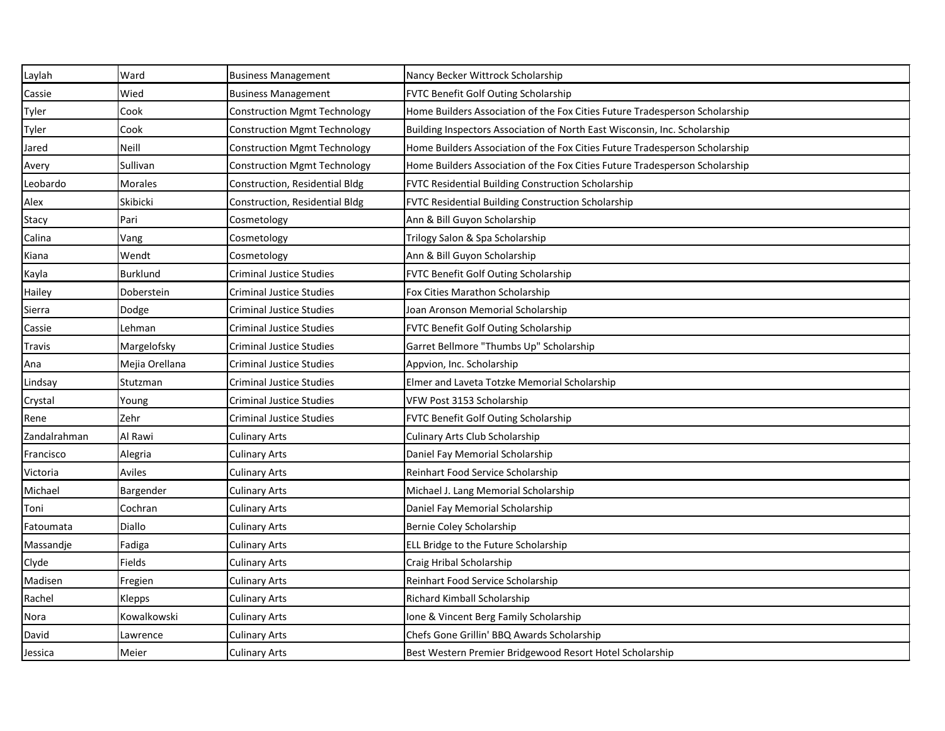| Laylah        | Ward            | <b>Business Management</b>          | Nancy Becker Wittrock Scholarship                                           |
|---------------|-----------------|-------------------------------------|-----------------------------------------------------------------------------|
| Cassie        | Wied            | <b>Business Management</b>          | FVTC Benefit Golf Outing Scholarship                                        |
| Tyler         | Cook            | <b>Construction Mgmt Technology</b> | Home Builders Association of the Fox Cities Future Tradesperson Scholarship |
| Tyler         | Cook            | <b>Construction Mgmt Technology</b> | Building Inspectors Association of North East Wisconsin, Inc. Scholarship   |
| Jared         | <b>Neill</b>    | <b>Construction Mgmt Technology</b> | Home Builders Association of the Fox Cities Future Tradesperson Scholarship |
| Avery         | Sullivan        | <b>Construction Mgmt Technology</b> | Home Builders Association of the Fox Cities Future Tradesperson Scholarship |
| Leobardo      | <b>Morales</b>  | Construction, Residential Bldg      | FVTC Residential Building Construction Scholarship                          |
| Alex          | Skibicki        | Construction, Residential Bldg      | FVTC Residential Building Construction Scholarship                          |
| Stacy         | Pari            | Cosmetology                         | Ann & Bill Guyon Scholarship                                                |
| Calina        | Vang            | Cosmetology                         | Trilogy Salon & Spa Scholarship                                             |
| Kiana         | Wendt           | Cosmetology                         | Ann & Bill Guyon Scholarship                                                |
| Kayla         | <b>Burklund</b> | Criminal Justice Studies            | FVTC Benefit Golf Outing Scholarship                                        |
| Hailey        | Doberstein      | <b>Criminal Justice Studies</b>     | Fox Cities Marathon Scholarship                                             |
| Sierra        | Dodge           | <b>Criminal Justice Studies</b>     | Joan Aronson Memorial Scholarship                                           |
| Cassie        | Lehman          | <b>Criminal Justice Studies</b>     | FVTC Benefit Golf Outing Scholarship                                        |
| <b>Travis</b> | Margelofsky     | <b>Criminal Justice Studies</b>     | Garret Bellmore "Thumbs Up" Scholarship                                     |
| Ana           | Mejia Orellana  | <b>Criminal Justice Studies</b>     | Appvion, Inc. Scholarship                                                   |
| Lindsay       | Stutzman        | <b>Criminal Justice Studies</b>     | Elmer and Laveta Totzke Memorial Scholarship                                |
| Crystal       | Young           | <b>Criminal Justice Studies</b>     | VFW Post 3153 Scholarship                                                   |
| Rene          | Zehr            | Criminal Justice Studies            | FVTC Benefit Golf Outing Scholarship                                        |
| Zandalrahman  | Al Rawi         | <b>Culinary Arts</b>                | Culinary Arts Club Scholarship                                              |
| Francisco     | Alegria         | Culinary Arts                       | Daniel Fay Memorial Scholarship                                             |
| Victoria      | Aviles          | <b>Culinary Arts</b>                | Reinhart Food Service Scholarship                                           |
| Michael       | Bargender       | Culinary Arts                       | Michael J. Lang Memorial Scholarship                                        |
| Toni          | Cochran         | <b>Culinary Arts</b>                | Daniel Fay Memorial Scholarship                                             |
| Fatoumata     | Diallo          | <b>Culinary Arts</b>                | Bernie Coley Scholarship                                                    |
| Massandje     | Fadiga          | <b>Culinary Arts</b>                | ELL Bridge to the Future Scholarship                                        |
| Clyde         | Fields          | <b>Culinary Arts</b>                | Craig Hribal Scholarship                                                    |
| Madisen       | Fregien         | <b>Culinary Arts</b>                | Reinhart Food Service Scholarship                                           |
| Rachel        | Klepps          | <b>Culinary Arts</b>                | Richard Kimball Scholarship                                                 |
| Nora          | Kowalkowski     | <b>Culinary Arts</b>                | Ione & Vincent Berg Family Scholarship                                      |
| David         | Lawrence        | <b>Culinary Arts</b>                | Chefs Gone Grillin' BBQ Awards Scholarship                                  |
| Jessica       | Meier           | <b>Culinary Arts</b>                | Best Western Premier Bridgewood Resort Hotel Scholarship                    |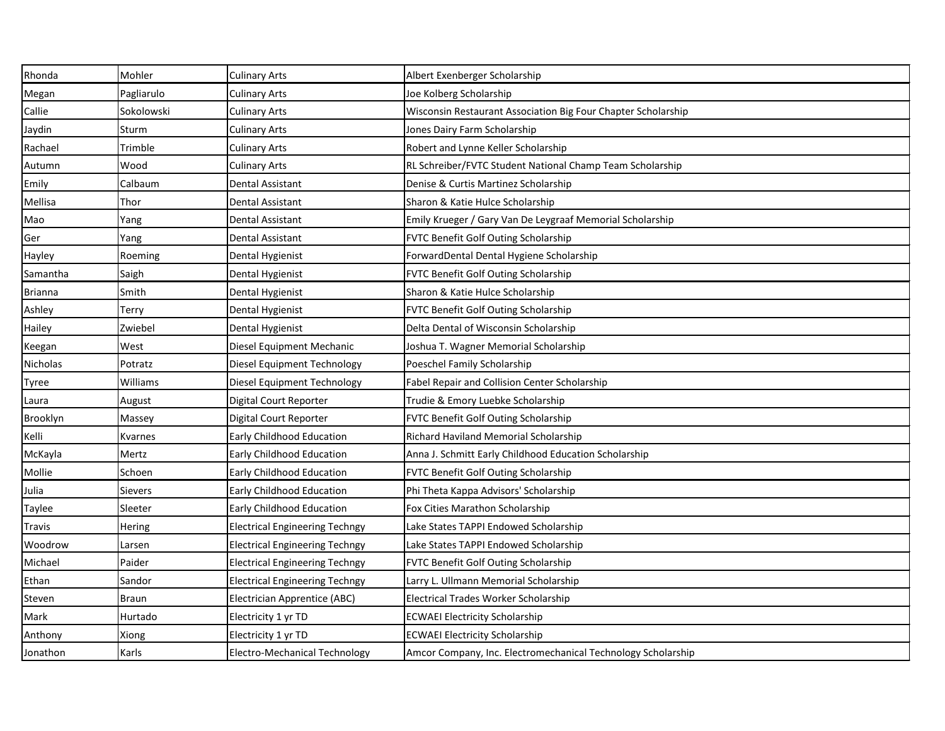| Rhonda         | Mohler         | <b>Culinary Arts</b>                  | Albert Exenberger Scholarship                                 |
|----------------|----------------|---------------------------------------|---------------------------------------------------------------|
| Megan          | Pagliarulo     | Culinary Arts                         | Joe Kolberg Scholarship                                       |
| Callie         | Sokolowski     | Culinary Arts                         | Wisconsin Restaurant Association Big Four Chapter Scholarship |
| Jaydin         | Sturm          | Culinary Arts                         | Jones Dairy Farm Scholarship                                  |
| Rachael        | Trimble        | <b>Culinary Arts</b>                  | Robert and Lynne Keller Scholarship                           |
| Autumn         | Wood           | Culinary Arts                         | RL Schreiber/FVTC Student National Champ Team Scholarship     |
| Emily          | Calbaum        | Dental Assistant                      | Denise & Curtis Martinez Scholarship                          |
| Mellisa        | Thor           | Dental Assistant                      | Sharon & Katie Hulce Scholarship                              |
| Mao            | Yang           | Dental Assistant                      | Emily Krueger / Gary Van De Leygraaf Memorial Scholarship     |
| Ger            | Yang           | Dental Assistant                      | FVTC Benefit Golf Outing Scholarship                          |
| Hayley         | Roeming        | Dental Hygienist                      | ForwardDental Dental Hygiene Scholarship                      |
| Samantha       | Saigh          | Dental Hygienist                      | FVTC Benefit Golf Outing Scholarship                          |
| <b>Brianna</b> | Smith          | Dental Hygienist                      | Sharon & Katie Hulce Scholarship                              |
| Ashley         | Terry          | Dental Hygienist                      | FVTC Benefit Golf Outing Scholarship                          |
| Hailey         | Zwiebel        | Dental Hygienist                      | Delta Dental of Wisconsin Scholarship                         |
| Keegan         | West           | Diesel Equipment Mechanic             | Joshua T. Wagner Memorial Scholarship                         |
| Nicholas       | Potratz        | Diesel Equipment Technology           | Poeschel Family Scholarship                                   |
| Tyree          | Williams       | Diesel Equipment Technology           | Fabel Repair and Collision Center Scholarship                 |
| Laura          | August         | Digital Court Reporter                | Trudie & Emory Luebke Scholarship                             |
| Brooklyn       | Massey         | Digital Court Reporter                | FVTC Benefit Golf Outing Scholarship                          |
| Kelli          | Kvarnes        | Early Childhood Education             | Richard Haviland Memorial Scholarship                         |
| McKayla        | Mertz          | <b>Early Childhood Education</b>      | Anna J. Schmitt Early Childhood Education Scholarship         |
| Mollie         | Schoen         | Early Childhood Education             | FVTC Benefit Golf Outing Scholarship                          |
| Julia          | Sievers        | Early Childhood Education             | Phi Theta Kappa Advisors' Scholarship                         |
| Taylee         | <b>Sleeter</b> | <b>Early Childhood Education</b>      | Fox Cities Marathon Scholarship                               |
| <b>Travis</b>  | Hering         | <b>Electrical Engineering Techngy</b> | Lake States TAPPI Endowed Scholarship                         |
| Woodrow        | Larsen         | <b>Electrical Engineering Techngy</b> | Lake States TAPPI Endowed Scholarship                         |
| Michael        | Paider         | <b>Electrical Engineering Techngy</b> | <b>FVTC Benefit Golf Outing Scholarship</b>                   |
| Ethan          | Sandor         | <b>Electrical Engineering Techngy</b> | Larry L. Ullmann Memorial Scholarship                         |
| Steven         | <b>Braun</b>   | <b>Electrician Apprentice (ABC)</b>   | Electrical Trades Worker Scholarship                          |
| Mark           | Hurtado        | Electricity 1 yr TD                   | <b>ECWAEI Electricity Scholarship</b>                         |
| Anthony        | Xiong          | Electricity 1 yr TD                   | <b>ECWAEI Electricity Scholarship</b>                         |
| Jonathon       | Karls          | <b>Electro-Mechanical Technology</b>  | Amcor Company, Inc. Electromechanical Technology Scholarship  |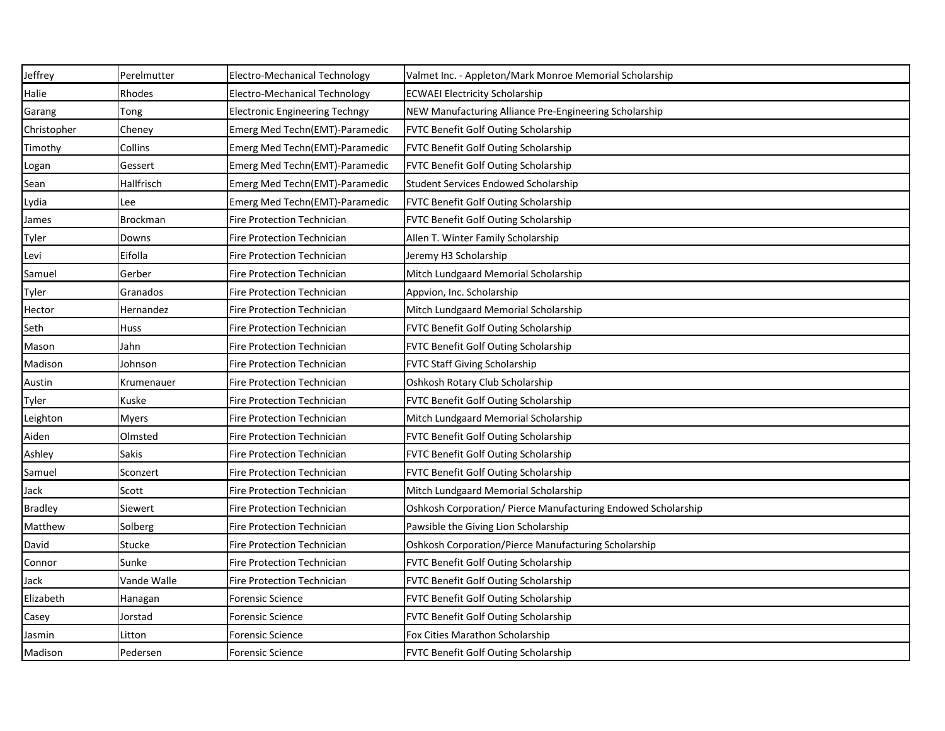| Jeffrey        | Perelmutter     | <b>Electro-Mechanical Technology</b>  | Valmet Inc. - Appleton/Mark Monroe Memorial Scholarship       |
|----------------|-----------------|---------------------------------------|---------------------------------------------------------------|
| Halie          | Rhodes          | Electro-Mechanical Technology         | <b>ECWAEI Electricity Scholarship</b>                         |
| Garang         | Tong            | <b>Electronic Engineering Techngy</b> | NEW Manufacturing Alliance Pre-Engineering Scholarship        |
| Christopher    | Cheney          | Emerg Med Techn(EMT)-Paramedic        | <b>FVTC Benefit Golf Outing Scholarship</b>                   |
| Timothy        | Collins         | Emerg Med Techn(EMT)-Paramedic        | <b>FVTC Benefit Golf Outing Scholarship</b>                   |
| Logan          | Gessert         | Emerg Med Techn(EMT)-Paramedic        | <b>FVTC Benefit Golf Outing Scholarship</b>                   |
| Sean           | Hallfrisch      | Emerg Med Techn(EMT)-Paramedic        | Student Services Endowed Scholarship                          |
| Lydia          | Lee             | Emerg Med Techn(EMT)-Paramedic        | <b>FVTC Benefit Golf Outing Scholarship</b>                   |
| James          | <b>Brockman</b> | <b>Fire Protection Technician</b>     | <b>FVTC Benefit Golf Outing Scholarship</b>                   |
| Tyler          | Downs           | Fire Protection Technician            | Allen T. Winter Family Scholarship                            |
| Levi           | Eifolla         | <b>Fire Protection Technician</b>     | Jeremy H3 Scholarship                                         |
| Samuel         | Gerber          | Fire Protection Technician            | Mitch Lundgaard Memorial Scholarship                          |
| Tyler          | Granados        | <b>Fire Protection Technician</b>     | Appvion, Inc. Scholarship                                     |
| Hector         | Hernandez       | Fire Protection Technician            | Mitch Lundgaard Memorial Scholarship                          |
| Seth           | Huss            | <b>Fire Protection Technician</b>     | <b>FVTC Benefit Golf Outing Scholarship</b>                   |
| Mason          | Jahn            | Fire Protection Technician            | <b>FVTC Benefit Golf Outing Scholarship</b>                   |
| Madison        | Johnson         | <b>Fire Protection Technician</b>     | <b>FVTC Staff Giving Scholarship</b>                          |
| Austin         | Krumenauer      | Fire Protection Technician            | Oshkosh Rotary Club Scholarship                               |
| Tyler          | Kuske           | <b>Fire Protection Technician</b>     | <b>FVTC Benefit Golf Outing Scholarship</b>                   |
| Leighton       | <b>Myers</b>    | Fire Protection Technician            | Mitch Lundgaard Memorial Scholarship                          |
| Aiden          | Olmsted         | <b>Fire Protection Technician</b>     | <b>FVTC Benefit Golf Outing Scholarship</b>                   |
| Ashley         | <b>Sakis</b>    | Fire Protection Technician            | <b>FVTC Benefit Golf Outing Scholarship</b>                   |
| Samuel         | Sconzert        | <b>Fire Protection Technician</b>     | <b>FVTC Benefit Golf Outing Scholarship</b>                   |
| Jack           | Scott           | Fire Protection Technician            | Mitch Lundgaard Memorial Scholarship                          |
| <b>Bradley</b> | Siewert         | Fire Protection Technician            | Oshkosh Corporation/ Pierce Manufacturing Endowed Scholarship |
| Matthew        | Solberg         | <b>Fire Protection Technician</b>     | Pawsible the Giving Lion Scholarship                          |
| David          | Stucke          | <b>Fire Protection Technician</b>     | Oshkosh Corporation/Pierce Manufacturing Scholarship          |
| Connor         | Sunke           | <b>Fire Protection Technician</b>     | <b>FVTC Benefit Golf Outing Scholarship</b>                   |
| Jack           | Vande Walle     | Fire Protection Technician            | <b>FVTC Benefit Golf Outing Scholarship</b>                   |
| Elizabeth      | Hanagan         | <b>Forensic Science</b>               | <b>FVTC Benefit Golf Outing Scholarship</b>                   |
| Casey          | Jorstad         | <b>Forensic Science</b>               | <b>FVTC Benefit Golf Outing Scholarship</b>                   |
| Jasmin         | Litton          | <b>Forensic Science</b>               | Fox Cities Marathon Scholarship                               |
| Madison        | Pedersen        | <b>Forensic Science</b>               | <b>FVTC Benefit Golf Outing Scholarship</b>                   |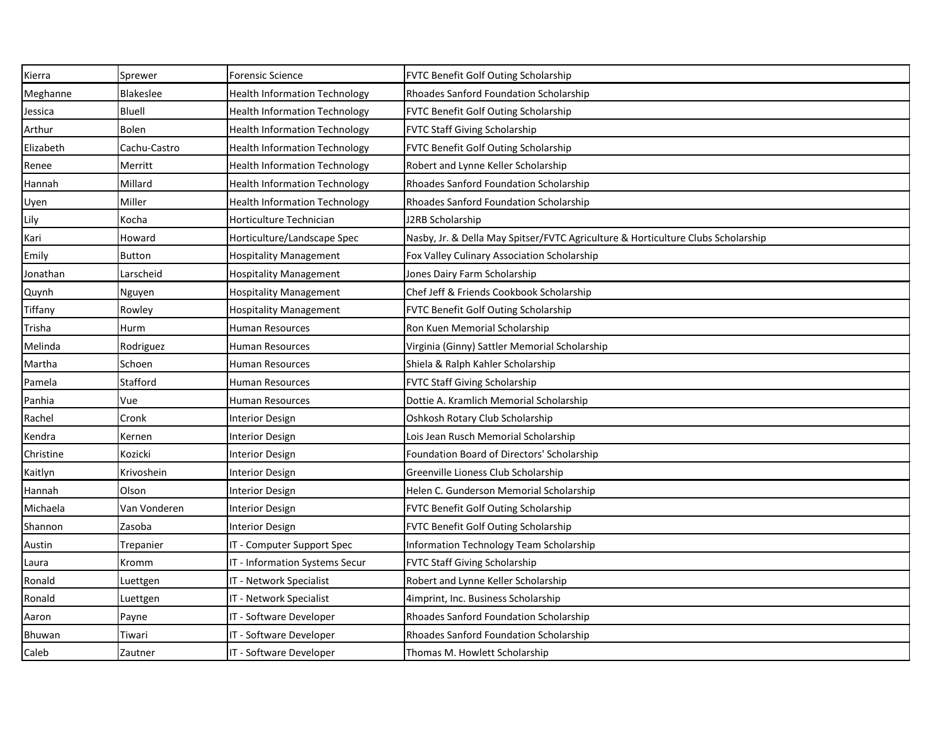| Kierra    | Sprewer      | <b>Forensic Science</b>              | FVTC Benefit Golf Outing Scholarship                                             |
|-----------|--------------|--------------------------------------|----------------------------------------------------------------------------------|
| Meghanne  | Blakeslee    | <b>Health Information Technology</b> | Rhoades Sanford Foundation Scholarship                                           |
| Jessica   | Bluell       | <b>Health Information Technology</b> | FVTC Benefit Golf Outing Scholarship                                             |
| Arthur    | <b>Bolen</b> | <b>Health Information Technology</b> | <b>FVTC Staff Giving Scholarship</b>                                             |
| Elizabeth | Cachu-Castro | <b>Health Information Technology</b> | FVTC Benefit Golf Outing Scholarship                                             |
| Renee     | Merritt      | <b>Health Information Technology</b> | Robert and Lynne Keller Scholarship                                              |
| Hannah    | Millard      | <b>Health Information Technology</b> | Rhoades Sanford Foundation Scholarship                                           |
| Uyen      | Miller       | <b>Health Information Technology</b> | Rhoades Sanford Foundation Scholarship                                           |
| Lily      | Kocha        | Horticulture Technician              | J2RB Scholarship                                                                 |
| Kari      | Howard       | Horticulture/Landscape Spec          | Nasby, Jr. & Della May Spitser/FVTC Agriculture & Horticulture Clubs Scholarship |
| Emily     | Button       | <b>Hospitality Management</b>        | Fox Valley Culinary Association Scholarship                                      |
| Jonathan  | Larscheid    | <b>Hospitality Management</b>        | Jones Dairy Farm Scholarship                                                     |
| Quynh     | Nguyen       | <b>Hospitality Management</b>        | Chef Jeff & Friends Cookbook Scholarship                                         |
| Tiffany   | Rowley       | <b>Hospitality Management</b>        | FVTC Benefit Golf Outing Scholarship                                             |
| Trisha    | Hurm         | Human Resources                      | Ron Kuen Memorial Scholarship                                                    |
| Melinda   | Rodriguez    | Human Resources                      | Virginia (Ginny) Sattler Memorial Scholarship                                    |
| Martha    | Schoen       | Human Resources                      | Shiela & Ralph Kahler Scholarship                                                |
| Pamela    | Stafford     | Human Resources                      | <b>FVTC Staff Giving Scholarship</b>                                             |
| Panhia    | Vue          | Human Resources                      | Dottie A. Kramlich Memorial Scholarship                                          |
| Rachel    | Cronk        | <b>Interior Design</b>               | Oshkosh Rotary Club Scholarship                                                  |
| Kendra    | Kernen       | <b>Interior Design</b>               | Lois Jean Rusch Memorial Scholarship                                             |
| Christine | Kozicki      | <b>Interior Design</b>               | Foundation Board of Directors' Scholarship                                       |
| Kaitlyn   | Krivoshein   | <b>Interior Design</b>               | Greenville Lioness Club Scholarship                                              |
| Hannah    | Olson        | <b>Interior Design</b>               | Helen C. Gunderson Memorial Scholarship                                          |
| Michaela  | Van Vonderen | <b>Interior Design</b>               | <b>FVTC Benefit Golf Outing Scholarship</b>                                      |
| Shannon   | Zasoba       | <b>Interior Design</b>               | FVTC Benefit Golf Outing Scholarship                                             |
| Austin    | Trepanier    | IT - Computer Support Spec           | <b>Information Technology Team Scholarship</b>                                   |
| Laura     | Kromm        | IT - Information Systems Secur       | <b>FVTC Staff Giving Scholarship</b>                                             |
| Ronald    | Luettgen     | IT - Network Specialist              | Robert and Lynne Keller Scholarship                                              |
| Ronald    | Luettgen     | IT - Network Specialist              | 4imprint, Inc. Business Scholarship                                              |
| Aaron     | Payne        | IT - Software Developer              | Rhoades Sanford Foundation Scholarship                                           |
| Bhuwan    | Tiwari       | IT - Software Developer              | Rhoades Sanford Foundation Scholarship                                           |
| Caleb     | Zautner      | IT - Software Developer              | Thomas M. Howlett Scholarship                                                    |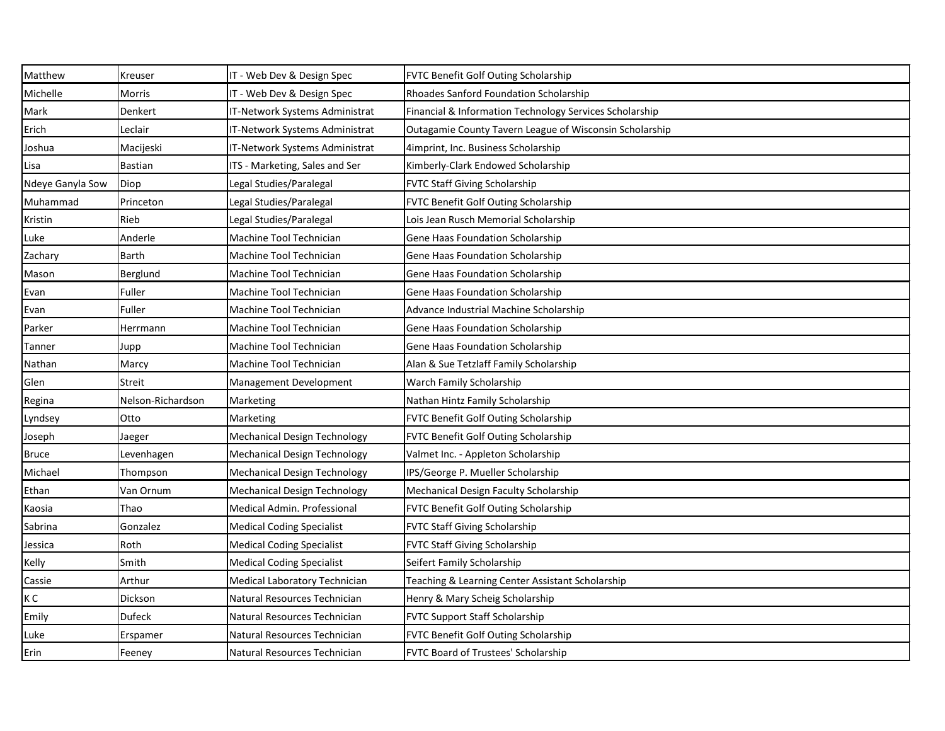| Matthew          | <b>Kreuser</b>    | IT - Web Dev & Design Spec          | FVTC Benefit Golf Outing Scholarship                    |
|------------------|-------------------|-------------------------------------|---------------------------------------------------------|
| Michelle         | <b>Morris</b>     | IT - Web Dev & Design Spec          | Rhoades Sanford Foundation Scholarship                  |
| Mark             | Denkert           | IT-Network Systems Administrat      | Financial & Information Technology Services Scholarship |
| Erich            | Leclair           | IT-Network Systems Administrat      | Outagamie County Tavern League of Wisconsin Scholarship |
| Joshua           | Macijeski         | IT-Network Systems Administrat      | 4imprint, Inc. Business Scholarship                     |
| Lisa             | Bastian           | ITS - Marketing, Sales and Ser      | Kimberly-Clark Endowed Scholarship                      |
| Ndeye Ganyla Sow | Diop              | Legal Studies/Paralegal             | <b>FVTC Staff Giving Scholarship</b>                    |
| Muhammad         | Princeton         | Legal Studies/Paralegal             | FVTC Benefit Golf Outing Scholarship                    |
| Kristin          | Rieb              | Legal Studies/Paralegal             | Lois Jean Rusch Memorial Scholarship                    |
| Luke             | Anderle           | Machine Tool Technician             | <b>Gene Haas Foundation Scholarship</b>                 |
| Zachary          | <b>Barth</b>      | Machine Tool Technician             | <b>Gene Haas Foundation Scholarship</b>                 |
| Mason            | Berglund          | Machine Tool Technician             | <b>Gene Haas Foundation Scholarship</b>                 |
| Evan             | Fuller            | Machine Tool Technician             | <b>Gene Haas Foundation Scholarship</b>                 |
| Evan             | Fuller            | Machine Tool Technician             | Advance Industrial Machine Scholarship                  |
| Parker           | Herrmann          | Machine Tool Technician             | Gene Haas Foundation Scholarship                        |
| Tanner           | Jupp              | Machine Tool Technician             | <b>Gene Haas Foundation Scholarship</b>                 |
| Nathan           | Marcy             | Machine Tool Technician             | Alan & Sue Tetzlaff Family Scholarship                  |
| Glen             | <b>Streit</b>     | Management Development              | Warch Family Scholarship                                |
| Regina           | Nelson-Richardson | Marketing                           | Nathan Hintz Family Scholarship                         |
| Lyndsey          | Otto              | Marketing                           | FVTC Benefit Golf Outing Scholarship                    |
| Joseph           | Jaeger            | <b>Mechanical Design Technology</b> | FVTC Benefit Golf Outing Scholarship                    |
| <b>Bruce</b>     | Levenhagen        | <b>Mechanical Design Technology</b> | Valmet Inc. - Appleton Scholarship                      |
| Michael          | Thompson          | <b>Mechanical Design Technology</b> | IPS/George P. Mueller Scholarship                       |
| Ethan            | Van Ornum         | <b>Mechanical Design Technology</b> | Mechanical Design Faculty Scholarship                   |
| Kaosia           | <b>Thao</b>       | Medical Admin. Professional         | <b>FVTC Benefit Golf Outing Scholarship</b>             |
| Sabrina          | Gonzalez          | <b>Medical Coding Specialist</b>    | <b>FVTC Staff Giving Scholarship</b>                    |
| Jessica          | Roth              | <b>Medical Coding Specialist</b>    | <b>FVTC Staff Giving Scholarship</b>                    |
| Kelly            | Smith             | <b>Medical Coding Specialist</b>    | Seifert Family Scholarship                              |
| Cassie           | Arthur            | Medical Laboratory Technician       | Teaching & Learning Center Assistant Scholarship        |
| КC               | Dickson           | Natural Resources Technician        | Henry & Mary Scheig Scholarship                         |
| Emily            | <b>Dufeck</b>     | Natural Resources Technician        | <b>FVTC Support Staff Scholarship</b>                   |
| Luke             | Erspamer          | Natural Resources Technician        | FVTC Benefit Golf Outing Scholarship                    |
| Erin             | Feeney            | Natural Resources Technician        | FVTC Board of Trustees' Scholarship                     |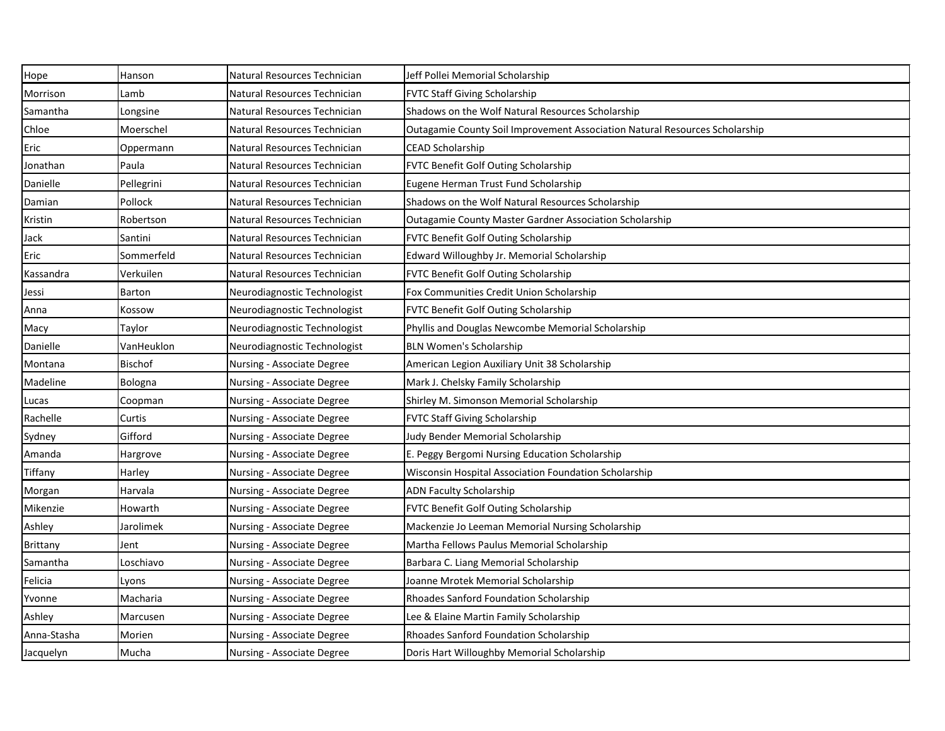| Hope            | Hanson         | Natural Resources Technician | Jeff Pollei Memorial Scholarship                                            |
|-----------------|----------------|------------------------------|-----------------------------------------------------------------------------|
| Morrison        | Lamb           | Natural Resources Technician | <b>FVTC Staff Giving Scholarship</b>                                        |
| Samantha        | Longsine       | Natural Resources Technician | Shadows on the Wolf Natural Resources Scholarship                           |
| Chloe           | Moerschel      | Natural Resources Technician | Outagamie County Soil Improvement Association Natural Resources Scholarship |
| Eric            | Oppermann      | Natural Resources Technician | <b>CEAD Scholarship</b>                                                     |
| Jonathan        | Paula          | Natural Resources Technician | FVTC Benefit Golf Outing Scholarship                                        |
| Danielle        | Pellegrini     | Natural Resources Technician | Eugene Herman Trust Fund Scholarship                                        |
| Damian          | Pollock        | Natural Resources Technician | Shadows on the Wolf Natural Resources Scholarship                           |
| Kristin         | Robertson      | Natural Resources Technician | <b>Outagamie County Master Gardner Association Scholarship</b>              |
| Jack            | Santini        | Natural Resources Technician | FVTC Benefit Golf Outing Scholarship                                        |
| Eric            | Sommerfeld     | Natural Resources Technician | Edward Willoughby Jr. Memorial Scholarship                                  |
| Kassandra       | Verkuilen      | Natural Resources Technician | FVTC Benefit Golf Outing Scholarship                                        |
| Jessi           | <b>Barton</b>  | Neurodiagnostic Technologist | Fox Communities Credit Union Scholarship                                    |
| Anna            | Kossow         | Neurodiagnostic Technologist | FVTC Benefit Golf Outing Scholarship                                        |
| Macy            | Taylor         | Neurodiagnostic Technologist | Phyllis and Douglas Newcombe Memorial Scholarship                           |
| Danielle        | VanHeuklon     | Neurodiagnostic Technologist | <b>BLN Women's Scholarship</b>                                              |
| Montana         | <b>Bischof</b> | Nursing - Associate Degree   | American Legion Auxiliary Unit 38 Scholarship                               |
| Madeline        | Bologna        | Nursing - Associate Degree   | Mark J. Chelsky Family Scholarship                                          |
| Lucas           | Coopman        | Nursing - Associate Degree   | Shirley M. Simonson Memorial Scholarship                                    |
| Rachelle        | Curtis         | Nursing - Associate Degree   | <b>FVTC Staff Giving Scholarship</b>                                        |
| Sydney          | Gifford        | Nursing - Associate Degree   | Judy Bender Memorial Scholarship                                            |
| Amanda          | Hargrove       | Nursing - Associate Degree   | E. Peggy Bergomi Nursing Education Scholarship                              |
| Tiffany         | Harley         | Nursing - Associate Degree   | Wisconsin Hospital Association Foundation Scholarship                       |
| Morgan          | Harvala        | Nursing - Associate Degree   | <b>ADN Faculty Scholarship</b>                                              |
| Mikenzie        | <b>Howarth</b> | Nursing - Associate Degree   | <b>FVTC Benefit Golf Outing Scholarship</b>                                 |
| Ashley          | Jarolimek      | Nursing - Associate Degree   | Mackenzie Jo Leeman Memorial Nursing Scholarship                            |
| <b>Brittany</b> | Jent           | Nursing - Associate Degree   | Martha Fellows Paulus Memorial Scholarship                                  |
| Samantha        | Loschiavo      | Nursing - Associate Degree   | Barbara C. Liang Memorial Scholarship                                       |
| Felicia         | Lyons          | Nursing - Associate Degree   | Joanne Mrotek Memorial Scholarship                                          |
| Yvonne          | Macharia       | Nursing - Associate Degree   | Rhoades Sanford Foundation Scholarship                                      |
| Ashley          | Marcusen       | Nursing - Associate Degree   | Lee & Elaine Martin Family Scholarship                                      |
| Anna-Stasha     | Morien         | Nursing - Associate Degree   | Rhoades Sanford Foundation Scholarship                                      |
| Jacquelyn       | Mucha          | Nursing - Associate Degree   | Doris Hart Willoughby Memorial Scholarship                                  |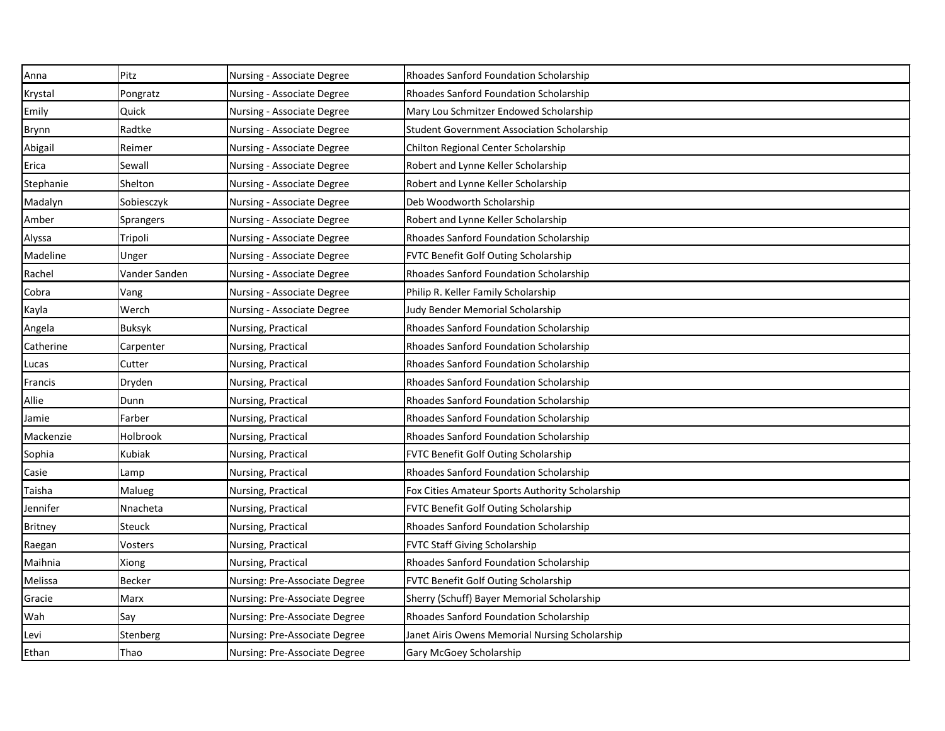| Anna           | Pitz             | Nursing - Associate Degree    | Rhoades Sanford Foundation Scholarship            |
|----------------|------------------|-------------------------------|---------------------------------------------------|
| Krystal        | Pongratz         | Nursing - Associate Degree    | Rhoades Sanford Foundation Scholarship            |
| Emily          | Quick            | Nursing - Associate Degree    | Mary Lou Schmitzer Endowed Scholarship            |
| Brynn          | Radtke           | Nursing - Associate Degree    | <b>Student Government Association Scholarship</b> |
| Abigail        | Reimer           | Nursing - Associate Degree    | Chilton Regional Center Scholarship               |
| Erica          | Sewall           | Nursing - Associate Degree    | Robert and Lynne Keller Scholarship               |
| Stephanie      | Shelton          | Nursing - Associate Degree    | Robert and Lynne Keller Scholarship               |
| Madalyn        | Sobiesczyk       | Nursing - Associate Degree    | Deb Woodworth Scholarship                         |
| Amber          | <b>Sprangers</b> | Nursing - Associate Degree    | Robert and Lynne Keller Scholarship               |
| Alyssa         | Tripoli          | Nursing - Associate Degree    | Rhoades Sanford Foundation Scholarship            |
| Madeline       | Unger            | Nursing - Associate Degree    | FVTC Benefit Golf Outing Scholarship              |
| Rachel         | Vander Sanden    | Nursing - Associate Degree    | Rhoades Sanford Foundation Scholarship            |
| Cobra          | Vang             | Nursing - Associate Degree    | Philip R. Keller Family Scholarship               |
| Kayla          | Werch            | Nursing - Associate Degree    | Judy Bender Memorial Scholarship                  |
| Angela         | <b>Buksyk</b>    | Nursing, Practical            | Rhoades Sanford Foundation Scholarship            |
| Catherine      | Carpenter        | Nursing, Practical            | Rhoades Sanford Foundation Scholarship            |
| Lucas          | Cutter           | Nursing, Practical            | Rhoades Sanford Foundation Scholarship            |
| Francis        | Dryden           | Nursing, Practical            | Rhoades Sanford Foundation Scholarship            |
| Allie          | Dunn             | Nursing, Practical            | Rhoades Sanford Foundation Scholarship            |
| Jamie          | Farber           | Nursing, Practical            | Rhoades Sanford Foundation Scholarship            |
| Mackenzie      | Holbrook         | Nursing, Practical            | Rhoades Sanford Foundation Scholarship            |
| Sophia         | Kubiak           | Nursing, Practical            | <b>FVTC Benefit Golf Outing Scholarship</b>       |
| Casie          | Lamp             | Nursing, Practical            | Rhoades Sanford Foundation Scholarship            |
| Taisha         | Malueg           | Nursing, Practical            | Fox Cities Amateur Sports Authority Scholarship   |
| Jennifer       | Nnacheta         | Nursing, Practical            | FVTC Benefit Golf Outing Scholarship              |
| <b>Britney</b> | Steuck           | Nursing, Practical            | Rhoades Sanford Foundation Scholarship            |
| Raegan         | Vosters          | Nursing, Practical            | <b>FVTC Staff Giving Scholarship</b>              |
| Maihnia        | Xiong            | Nursing, Practical            | Rhoades Sanford Foundation Scholarship            |
| Melissa        | <b>Becker</b>    | Nursing: Pre-Associate Degree | <b>FVTC Benefit Golf Outing Scholarship</b>       |
| Gracie         | Marx             | Nursing: Pre-Associate Degree | Sherry (Schuff) Bayer Memorial Scholarship        |
| Wah            | Say              | Nursing: Pre-Associate Degree | Rhoades Sanford Foundation Scholarship            |
| Levi           | Stenberg         | Nursing: Pre-Associate Degree | Janet Airis Owens Memorial Nursing Scholarship    |
| Ethan          | Thao             | Nursing: Pre-Associate Degree | Gary McGoey Scholarship                           |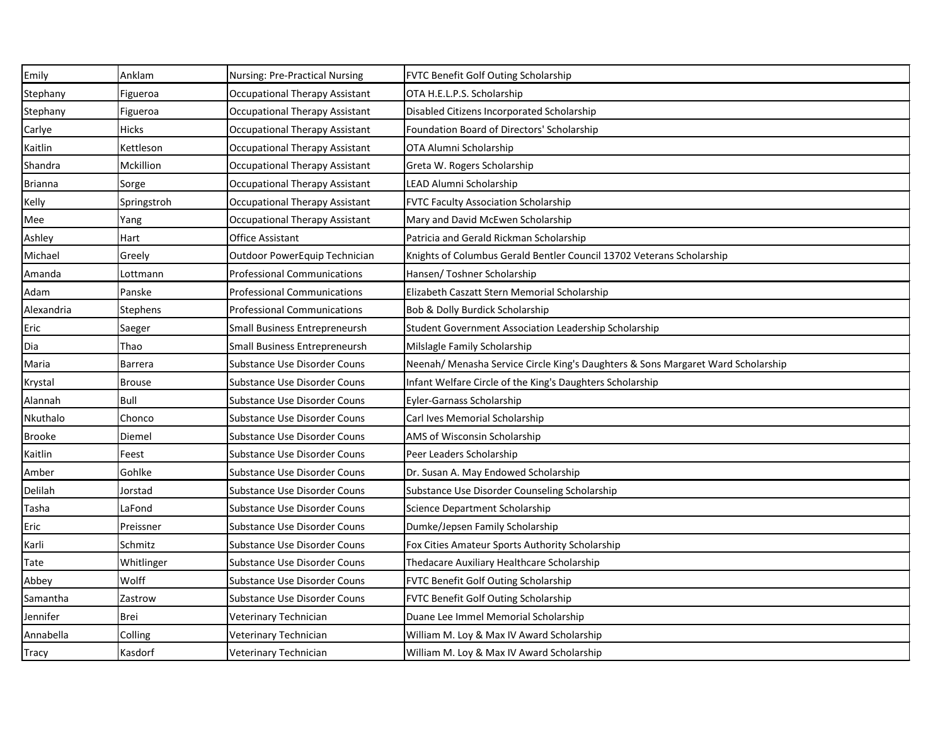| Emily          | Anklam          | <b>Nursing: Pre-Practical Nursing</b> | <b>FVTC Benefit Golf Outing Scholarship</b>                                      |
|----------------|-----------------|---------------------------------------|----------------------------------------------------------------------------------|
| Stephany       | Figueroa        | <b>Occupational Therapy Assistant</b> | OTA H.E.L.P.S. Scholarship                                                       |
| Stephany       | Figueroa        | <b>Occupational Therapy Assistant</b> | Disabled Citizens Incorporated Scholarship                                       |
| Carlye         | <b>Hicks</b>    | <b>Occupational Therapy Assistant</b> | Foundation Board of Directors' Scholarship                                       |
| Kaitlin        | Kettleson       | <b>Occupational Therapy Assistant</b> | OTA Alumni Scholarship                                                           |
| Shandra        | Mckillion       | <b>Occupational Therapy Assistant</b> | Greta W. Rogers Scholarship                                                      |
| <b>Brianna</b> | Sorge           | Occupational Therapy Assistant        | LEAD Alumni Scholarship                                                          |
| Kelly          | Springstroh     | <b>Occupational Therapy Assistant</b> | <b>FVTC Faculty Association Scholarship</b>                                      |
| Mee            | Yang            | Occupational Therapy Assistant        | Mary and David McEwen Scholarship                                                |
| Ashley         | Hart            | <b>Office Assistant</b>               | Patricia and Gerald Rickman Scholarship                                          |
| Michael        | Greely          | Outdoor PowerEquip Technician         | Knights of Columbus Gerald Bentler Council 13702 Veterans Scholarship            |
| Amanda         | Lottmann        | <b>Professional Communications</b>    | Hansen/ Toshner Scholarship                                                      |
| Adam           | Panske          | <b>Professional Communications</b>    | Elizabeth Caszatt Stern Memorial Scholarship                                     |
| Alexandria     | <b>Stephens</b> | <b>Professional Communications</b>    | Bob & Dolly Burdick Scholarship                                                  |
| Eric           | Saeger          | <b>Small Business Entrepreneursh</b>  | Student Government Association Leadership Scholarship                            |
| Dia            | Thao            | <b>Small Business Entrepreneursh</b>  | Milslagle Family Scholarship                                                     |
| Maria          | <b>Barrera</b>  | <b>Substance Use Disorder Couns</b>   | Neenah/ Menasha Service Circle King's Daughters & Sons Margaret Ward Scholarship |
| Krystal        | <b>Brouse</b>   | Substance Use Disorder Couns          | Infant Welfare Circle of the King's Daughters Scholarship                        |
| Alannah        | <b>Bull</b>     | <b>Substance Use Disorder Couns</b>   | Eyler-Garnass Scholarship                                                        |
| Nkuthalo       | Chonco          | Substance Use Disorder Couns          | Carl Ives Memorial Scholarship                                                   |
| <b>Brooke</b>  | Diemel          | <b>Substance Use Disorder Couns</b>   | AMS of Wisconsin Scholarship                                                     |
| Kaitlin        | Feest           | Substance Use Disorder Couns          | Peer Leaders Scholarship                                                         |
| Amber          | Gohlke          | Substance Use Disorder Couns          | Dr. Susan A. May Endowed Scholarship                                             |
| Delilah        | Jorstad         | Substance Use Disorder Couns          | Substance Use Disorder Counseling Scholarship                                    |
| Tasha          | LaFond          | Substance Use Disorder Couns          | Science Department Scholarship                                                   |
| Eric           | Preissner       | Substance Use Disorder Couns          | Dumke/Jepsen Family Scholarship                                                  |
| Karli          | Schmitz         | Substance Use Disorder Couns          | Fox Cities Amateur Sports Authority Scholarship                                  |
| Tate           | Whitlinger      | Substance Use Disorder Couns          | Thedacare Auxiliary Healthcare Scholarship                                       |
| Abbey          | Wolff           | Substance Use Disorder Couns          | FVTC Benefit Golf Outing Scholarship                                             |
| Samantha       | Zastrow         | Substance Use Disorder Couns          | FVTC Benefit Golf Outing Scholarship                                             |
| Jennifer       | <b>Brei</b>     | Veterinary Technician                 | Duane Lee Immel Memorial Scholarship                                             |
| Annabella      | Colling         | Veterinary Technician                 | William M. Loy & Max IV Award Scholarship                                        |
| Tracy          | Kasdorf         | Veterinary Technician                 | William M. Loy & Max IV Award Scholarship                                        |